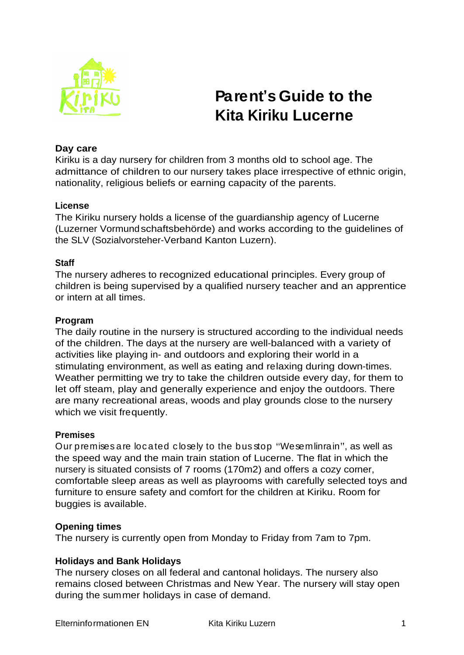

# **Parent's Guide to the Kita Kiriku Lucerne**

## **Day care**

Kiriku is a day nursery for children from 3 months old to school age. The admittance of children to our nursery takes place irrespective of ethnic origin, nationality, religious beliefs or earning capacity of the parents.

## **License**

The Kiriku nursery holds a license of the guardianship agency of Lucerne (Luzerner Vormundschaftsbehörde) and works according to the guidelines of the SLV (Sozialvorsteher-Verband Kanton Luzern).

#### **Staff**

The nursery adheres to recognized educational principles. Every group of children is being supervised by a qualified nursery teacher and an apprentice or intern at all times.

#### **Program**

The daily routine in the nursery is structured according to the individual needs of the children. The days at the nursery are well-balanced with a variety of activities like playing in- and outdoors and exploring their world in a stimulating environment, as well as eating and relaxing during down-times. Weather permitting we try to take the children outside every day, for them to let off steam, play and generally experience and enjoy the outdoors. There are many recreational areas, woods and play grounds close to the nursery which we visit frequently.

#### **Premises**

Our premises are located closely to the bus stop "Wesemlinrain", as well as the speed way and the main train station of Lucerne. The flat in which the nursery is situated consists of 7 rooms (170m2) and offers a cozy corner, comfortable sleep areas as well as playrooms with carefully selected toys and furniture to ensure safety and comfort for the children at Kiriku. Room for buggies is available.

## **Opening times**

The nursery is currently open from Monday to Friday from 7am to 7pm.

## **Holidays and Bank Holidays**

The nursery closes on all federal and cantonal holidays. The nursery also remains closed between Christmas and New Year. The nursery will stay open during the summer holidays in case of demand.